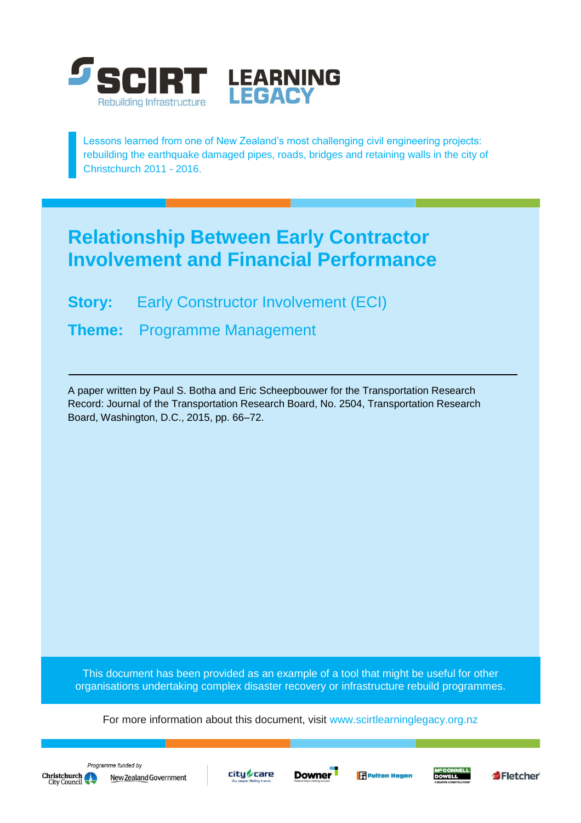

Lessons learned from one of New Zealand's most challenging civil engineering projects: rebuilding the earthquake damaged pipes, roads, bridges and retaining walls in the city of Christchurch 2011 - 2016.

## **Relationship Between Early Contractor Involvement and Financial Performance**

**Story:** Early Constructor Involvement (ECI)

**Theme:** Programme Management

A paper written by Paul S. Botha and Eric Scheepbouwer for the Transportation Research Record: Journal of the Transportation Research Board, No. 2504, Transportation Research Board, Washington, D.C., 2015, pp. 66–72.

This document has been provided as an example of a tool that might be useful for other organisations undertaking complex disaster recovery or infrastructure rebuild programmes.

For more information about this document, visit [www.scirtlearninglegacy.org.nz](http://www.scirtlearninglegacy.org.nz/)









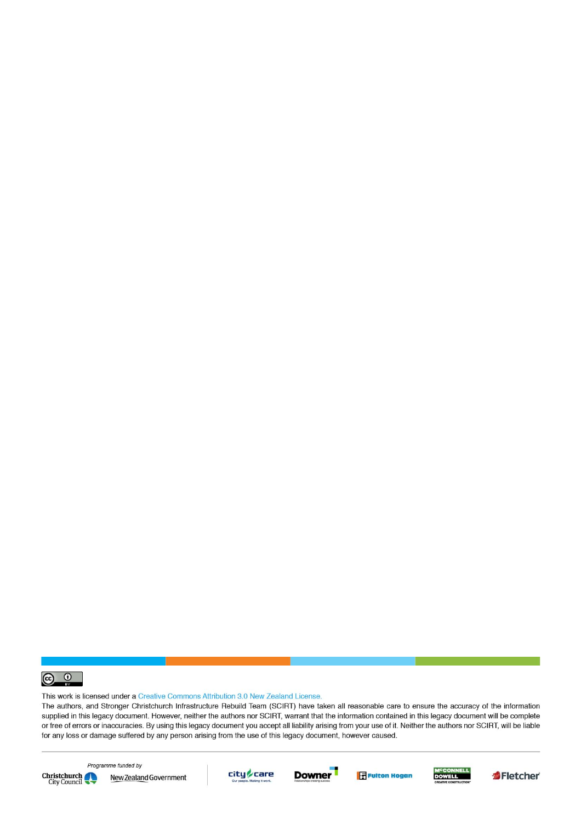

This work is licensed under a Creative Commons Attribution 3.0 New Zealand License.

The authors, and Stronger Christchurch Infrastructure Rebuild Team (SCIRT) have taken all reasonable care to ensure the accuracy of the information supplied in this legacy document. However, neither the authors nor SCIRT, warrant that the information contained in this legacy document will be complete or free of errors or inaccuracies. By using this legacy document you accept all liability arising from your use of it. Neither the authors nor SCIRT, will be liable for any loss or damage suffered by any person arising from the use of this legacy document, however caused.



Programme funded by New Zealand Government









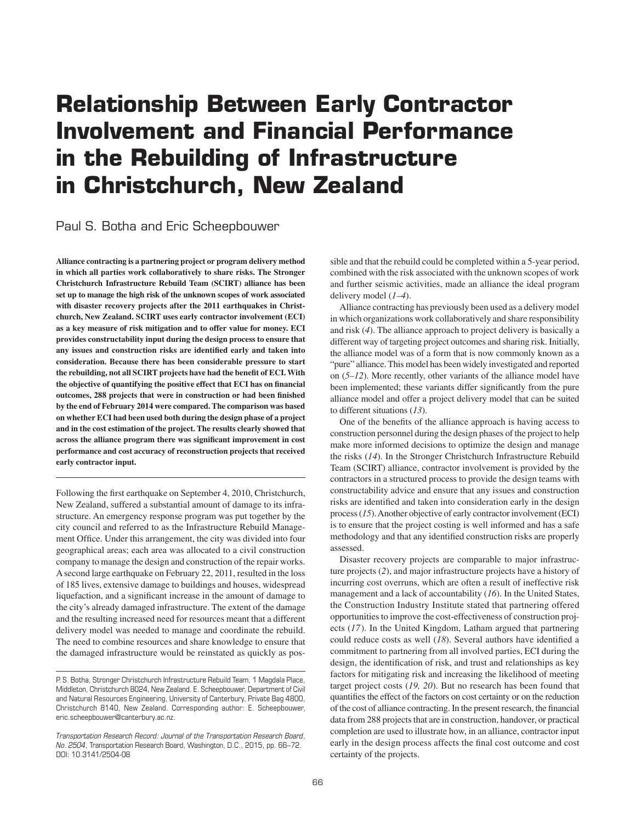# **Relationship Between Early Contractor Involvement and Financial Performance in the Rebuilding of Infrastructure in Christchurch, New Zealand**

## Paul S. Botha and Eric Scheepbouwer

**Alliance contracting is a partnering project or program delivery method in which all parties work collaboratively to share risks. The Stronger Christchurch Infrastructure Rebuild Team (SCIRT) alliance has been set up to manage the high risk of the unknown scopes of work associated with disaster recovery projects after the 2011 earthquakes in Christchurch, New Zealand. SCIRT uses early contractor involvement (ECI) as a key measure of risk mitigation and to offer value for money. ECI provides constructability input during the design process to ensure that any issues and construction risks are identified early and taken into consideration. Because there has been considerable pressure to start the rebuilding, not all SCIRT projects have had the benefit of ECI. With the objective of quantifying the positive effect that ECI has on financial outcomes, 288 projects that were in construction or had been finished by the end of February 2014 were compared. The comparison was based on whether ECI had been used both during the design phase of a project and in the cost estimation of the project. The results clearly showed that across the alliance program there was significant improvement in cost performance and cost accuracy of reconstruction projects that received early contractor input.**

Following the first earthquake on September 4, 2010, Christchurch, New Zealand, suffered a substantial amount of damage to its infrastructure. An emergency response program was put together by the city council and referred to as the Infrastructure Rebuild Management Office. Under this arrangement, the city was divided into four geographical areas; each area was allocated to a civil construction company to manage the design and construction of the repair works. A second large earthquake on February 22, 2011, resulted in the loss of 185 lives, extensive damage to buildings and houses, widespread liquefaction, and a significant increase in the amount of damage to the city's already damaged infrastructure. The extent of the damage and the resulting increased need for resources meant that a different delivery model was needed to manage and coordinate the rebuild. The need to combine resources and share knowledge to ensure that the damaged infrastructure would be reinstated as quickly as pos-

sible and that the rebuild could be completed within a 5-year period, combined with the risk associated with the unknown scopes of work and further seismic activities, made an alliance the ideal program delivery model (*1–4*).

Alliance contracting has previously been used as a delivery model in which organizations work collaboratively and share responsibility and risk (*4*). The alliance approach to project delivery is basically a different way of targeting project outcomes and sharing risk. Initially, the alliance model was of a form that is now commonly known as a "pure" alliance. This model has been widely investigated and reported on (*5–12*). More recently, other variants of the alliance model have been implemented; these variants differ significantly from the pure alliance model and offer a project delivery model that can be suited to different situations (*13*).

One of the benefits of the alliance approach is having access to construction personnel during the design phases of the project to help make more informed decisions to optimize the design and manage the risks (*14*). In the Stronger Christchurch Infrastructure Rebuild Team (SCIRT) alliance, contractor involvement is provided by the contractors in a structured process to provide the design teams with constructability advice and ensure that any issues and construction risks are identified and taken into consideration early in the design process (*15*). Another objective of early contractor involvement (ECI) is to ensure that the project costing is well informed and has a safe methodology and that any identified construction risks are properly assessed.

Disaster recovery projects are comparable to major infrastructure projects (*2*), and major infrastructure projects have a history of incurring cost overruns, which are often a result of ineffective risk management and a lack of accountability (*16*). In the United States, the Construction Industry Institute stated that partnering offered opportunities to improve the cost-effectiveness of construction projects (*17*). In the United Kingdom, Latham argued that partnering could reduce costs as well (*18*). Several authors have identified a commitment to partnering from all involved parties, ECI during the design, the identification of risk, and trust and relationships as key factors for mitigating risk and increasing the likelihood of meeting target project costs (*19, 20*). But no research has been found that quantifies the effect of the factors on cost certainty or on the reduction of the cost of alliance contracting. In the present research, the financial data from 288 projects that are in construction, handover, or practical completion are used to illustrate how, in an alliance, contractor input early in the design process affects the final cost outcome and cost certainty of the projects.

P. S. Botha, Stronger Christchurch Infrastructure Rebuild Team, 1 Magdala Place, Middleton, Christchurch 8024, New Zealand. E. Scheepbouwer, Department of Civil and Natural Resources Engineering, University of Canterbury, Private Bag 4800, Christchurch 8140, New Zealand. Corresponding author: E. Scheepbouwer, eric.scheepbouwer@canterbury.ac.nz.

Transportation Research Record: Journal of the Transportation Research Board, No. 2504, Transportation Research Board, Washington, D.C., 2015, pp. 66–72. DOI: 10.3141/2504-08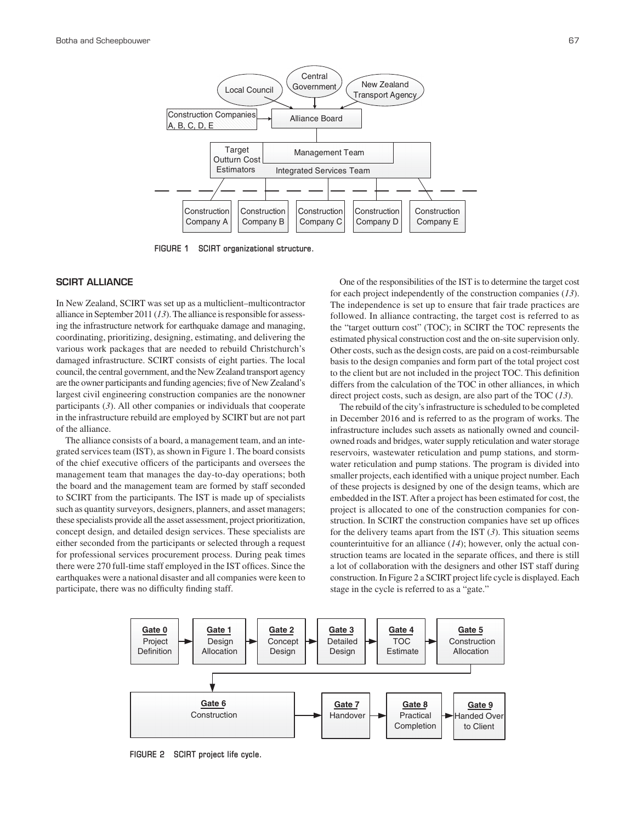

**FIGURE 1 SCIRT organizational structure.**

## SCIRT Alliance

In New Zealand, SCIRT was set up as a multiclient–multicontractor alliance in September 2011 (*13*). The alliance is responsible for assessing the infrastructure network for earthquake damage and managing, coordinating, prioritizing, designing, estimating, and delivering the various work packages that are needed to rebuild Christchurch's damaged infrastructure. SCIRT consists of eight parties. The local council, the central government, and the New Zealand transport agency are the owner participants and funding agencies; five of New Zealand's largest civil engineering construction companies are the nonowner participants (*3*). All other companies or individuals that cooperate in the infrastructure rebuild are employed by SCIRT but are not part of the alliance.

The alliance consists of a board, a management team, and an integrated services team (IST), as shown in Figure 1. The board consists of the chief executive officers of the participants and oversees the management team that manages the day-to-day operations; both the board and the management team are formed by staff seconded to SCIRT from the participants. The IST is made up of specialists such as quantity surveyors, designers, planners, and asset managers; these specialists provide all the asset assessment, project prioritization, concept design, and detailed design services. These specialists are either seconded from the participants or selected through a request for professional services procurement process. During peak times there were 270 full-time staff employed in the IST offices. Since the earthquakes were a national disaster and all companies were keen to participate, there was no difficulty finding staff.

One of the responsibilities of the IST is to determine the target cost for each project independently of the construction companies (*13*). The independence is set up to ensure that fair trade practices are followed. In alliance contracting, the target cost is referred to as the "target outturn cost" (TOC); in SCIRT the TOC represents the estimated physical construction cost and the on-site supervision only. Other costs, such as the design costs, are paid on a cost-reimbursable basis to the design companies and form part of the total project cost to the client but are not included in the project TOC. This definition differs from the calculation of the TOC in other alliances, in which direct project costs, such as design, are also part of the TOC (*13*).

The rebuild of the city's infrastructure is scheduled to be completed in December 2016 and is referred to as the program of works. The infrastructure includes such assets as nationally owned and councilowned roads and bridges, water supply reticulation and water storage reservoirs, wastewater reticulation and pump stations, and stormwater reticulation and pump stations. The program is divided into smaller projects, each identified with a unique project number. Each of these projects is designed by one of the design teams, which are embedded in the IST. After a project has been estimated for cost, the project is allocated to one of the construction companies for construction. In SCIRT the construction companies have set up offices for the delivery teams apart from the IST (*3*). This situation seems counterintuitive for an alliance (*14*); however, only the actual construction teams are located in the separate offices, and there is still a lot of collaboration with the designers and other IST staff during construction. In Figure 2 a SCIRT project life cycle is displayed. Each stage in the cycle is referred to as a "gate."



**FIGURE 2 SCIRT project life cycle.**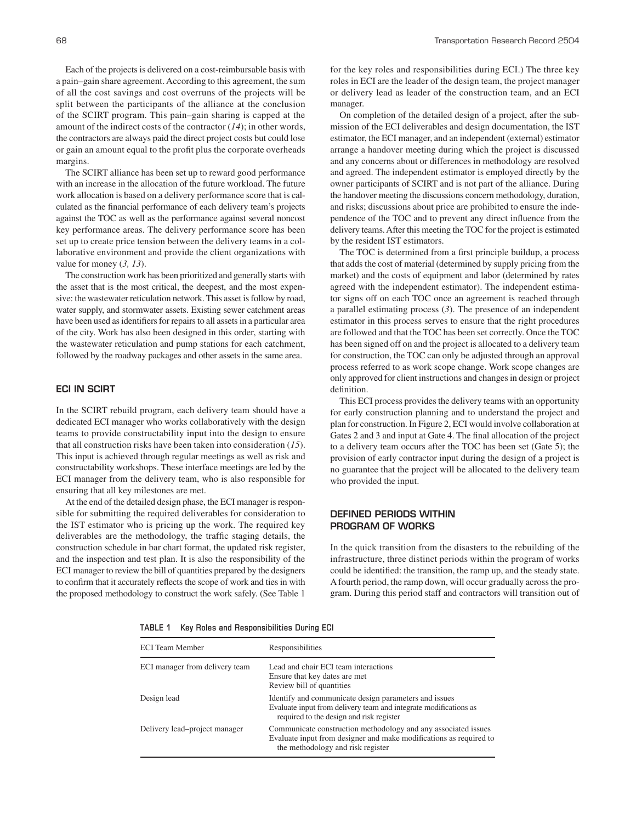Each of the projects is delivered on a cost-reimbursable basis with a pain–gain share agreement. According to this agreement, the sum of all the cost savings and cost overruns of the projects will be split between the participants of the alliance at the conclusion of the SCIRT program. This pain–gain sharing is capped at the amount of the indirect costs of the contractor (*14*); in other words, the contractors are always paid the direct project costs but could lose or gain an amount equal to the profit plus the corporate overheads margins.

The SCIRT alliance has been set up to reward good performance with an increase in the allocation of the future workload. The future work allocation is based on a delivery performance score that is calculated as the financial performance of each delivery team's projects against the TOC as well as the performance against several noncost key performance areas. The delivery performance score has been set up to create price tension between the delivery teams in a collaborative environment and provide the client organizations with value for money (*3, 13*).

The construction work has been prioritized and generally starts with the asset that is the most critical, the deepest, and the most expensive: the wastewater reticulation network. This asset is follow by road, water supply, and stormwater assets. Existing sewer catchment areas have been used as identifiers for repairs to all assets in a particular area of the city. Work has also been designed in this order, starting with the wastewater reticulation and pump stations for each catchment, followed by the roadway packages and other assets in the same area.

### ECI in SCIRT

In the SCIRT rebuild program, each delivery team should have a dedicated ECI manager who works collaboratively with the design teams to provide constructability input into the design to ensure that all construction risks have been taken into consideration (*15*). This input is achieved through regular meetings as well as risk and constructability workshops. These interface meetings are led by the ECI manager from the delivery team, who is also responsible for ensuring that all key milestones are met.

At the end of the detailed design phase, the ECI manager is responsible for submitting the required deliverables for consideration to the IST estimator who is pricing up the work. The required key deliverables are the methodology, the traffic staging details, the construction schedule in bar chart format, the updated risk register, and the inspection and test plan. It is also the responsibility of the ECI manager to review the bill of quantities prepared by the designers to confirm that it accurately reflects the scope of work and ties in with the proposed methodology to construct the work safely. (See Table 1

for the key roles and responsibilities during ECI.) The three key roles in ECI are the leader of the design team, the project manager or delivery lead as leader of the construction team, and an ECI manager.

On completion of the detailed design of a project, after the submission of the ECI deliverables and design documentation, the IST estimator, the ECI manager, and an independent (external) estimator arrange a handover meeting during which the project is discussed and any concerns about or differences in methodology are resolved and agreed. The independent estimator is employed directly by the owner participants of SCIRT and is not part of the alliance. During the handover meeting the discussions concern methodology, duration, and risks; discussions about price are prohibited to ensure the independence of the TOC and to prevent any direct influence from the delivery teams. After this meeting the TOC for the project is estimated by the resident IST estimators.

The TOC is determined from a first principle buildup, a process that adds the cost of material (determined by supply pricing from the market) and the costs of equipment and labor (determined by rates agreed with the independent estimator). The independent estimator signs off on each TOC once an agreement is reached through a parallel estimating process (*3*). The presence of an independent estimator in this process serves to ensure that the right procedures are followed and that the TOC has been set correctly. Once the TOC has been signed off on and the project is allocated to a delivery team for construction, the TOC can only be adjusted through an approval process referred to as work scope change. Work scope changes are only approved for client instructions and changes in design or project definition.

This ECI process provides the delivery teams with an opportunity for early construction planning and to understand the project and plan for construction. In Figure 2, ECI would involve collaboration at Gates 2 and 3 and input at Gate 4. The final allocation of the project to a delivery team occurs after the TOC has been set (Gate 5); the provision of early contractor input during the design of a project is no guarantee that the project will be allocated to the delivery team who provided the input.

## Defined Periods within Program of Works

In the quick transition from the disasters to the rebuilding of the infrastructure, three distinct periods within the program of works could be identified: the transition, the ramp up, and the steady state. A fourth period, the ramp down, will occur gradually across the program. During this period staff and contractors will transition out of

**TABLE 1 Key Roles and Responsibilities During ECI**

| <b>ECI</b> Team Member         | Responsibilities                                                                                                                                                          |
|--------------------------------|---------------------------------------------------------------------------------------------------------------------------------------------------------------------------|
| ECI manager from delivery team | Lead and chair ECI team interactions<br>Ensure that key dates are met<br>Review bill of quantities                                                                        |
| Design lead                    | Identify and communicate design parameters and issues<br>Evaluate input from delivery team and integrate modifications as<br>required to the design and risk register     |
| Delivery lead-project manager  | Communicate construction methodology and any associated issues<br>Evaluate input from designer and make modifications as required to<br>the methodology and risk register |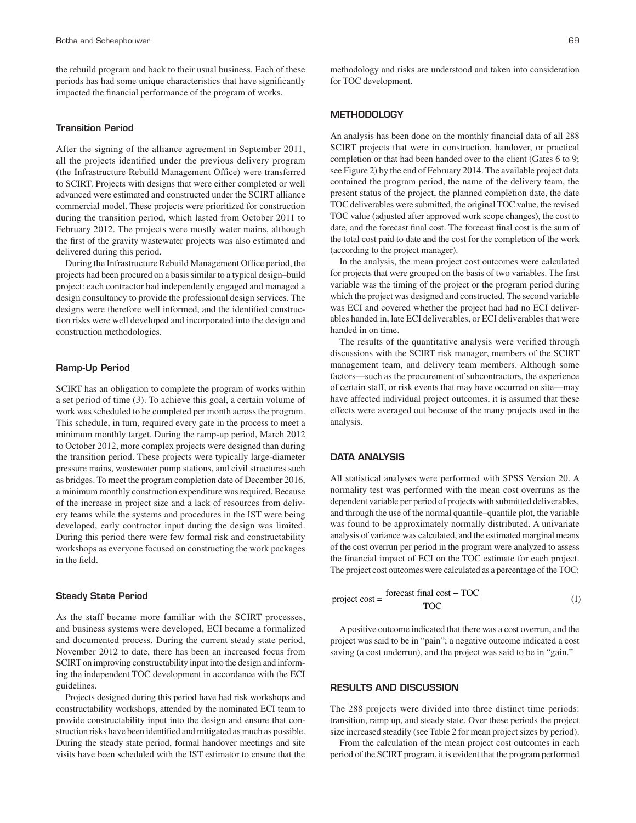the rebuild program and back to their usual business. Each of these periods has had some unique characteristics that have significantly impacted the financial performance of the program of works.

#### Transition Period

After the signing of the alliance agreement in September 2011, all the projects identified under the previous delivery program (the Infrastructure Rebuild Management Office) were transferred to SCIRT. Projects with designs that were either completed or well advanced were estimated and constructed under the SCIRT alliance commercial model. These projects were prioritized for construction during the transition period, which lasted from October 2011 to February 2012. The projects were mostly water mains, although the first of the gravity wastewater projects was also estimated and delivered during this period.

During the Infrastructure Rebuild Management Office period, the projects had been procured on a basis similar to a typical design–build project: each contractor had independently engaged and managed a design consultancy to provide the professional design services. The designs were therefore well informed, and the identified construction risks were well developed and incorporated into the design and construction methodologies.

#### Ramp-Up Period

SCIRT has an obligation to complete the program of works within a set period of time (*3*). To achieve this goal, a certain volume of work was scheduled to be completed per month across the program. This schedule, in turn, required every gate in the process to meet a minimum monthly target. During the ramp-up period, March 2012 to October 2012, more complex projects were designed than during the transition period. These projects were typically large-diameter pressure mains, wastewater pump stations, and civil structures such as bridges. To meet the program completion date of December 2016, a minimum monthly construction expenditure was required. Because of the increase in project size and a lack of resources from delivery teams while the systems and procedures in the IST were being developed, early contractor input during the design was limited. During this period there were few formal risk and constructability workshops as everyone focused on constructing the work packages in the field.

#### Steady State Period

As the staff became more familiar with the SCIRT processes, and business systems were developed, ECI became a formalized and documented process. During the current steady state period, November 2012 to date, there has been an increased focus from SCIRT on improving constructability input into the design and informing the independent TOC development in accordance with the ECI guidelines.

Projects designed during this period have had risk workshops and constructability workshops, attended by the nominated ECI team to provide constructability input into the design and ensure that construction risks have been identified and mitigated as much as possible. During the steady state period, formal handover meetings and site visits have been scheduled with the IST estimator to ensure that the methodology and risks are understood and taken into consideration for TOC development.

#### **METHODOLOGY**

An analysis has been done on the monthly financial data of all 288 SCIRT projects that were in construction, handover, or practical completion or that had been handed over to the client (Gates 6 to 9; see Figure 2) by the end of February 2014. The available project data contained the program period, the name of the delivery team, the present status of the project, the planned completion date, the date TOC deliverables were submitted, the original TOC value, the revised TOC value (adjusted after approved work scope changes), the cost to date, and the forecast final cost. The forecast final cost is the sum of the total cost paid to date and the cost for the completion of the work (according to the project manager).

In the analysis, the mean project cost outcomes were calculated for projects that were grouped on the basis of two variables. The first variable was the timing of the project or the program period during which the project was designed and constructed. The second variable was ECI and covered whether the project had had no ECI deliverables handed in, late ECI deliverables, or ECI deliverables that were handed in on time.

The results of the quantitative analysis were verified through discussions with the SCIRT risk manager, members of the SCIRT management team, and delivery team members. Although some factors—such as the procurement of subcontractors, the experience of certain staff, or risk events that may have occurred on site—may have affected individual project outcomes, it is assumed that these effects were averaged out because of the many projects used in the analysis.

## **DATA ANALYSIS**

All statistical analyses were performed with SPSS Version 20. A normality test was performed with the mean cost overruns as the dependent variable per period of projects with submitted deliverables, and through the use of the normal quantile–quantile plot, the variable was found to be approximately normally distributed. A univariate analysis of variance was calculated, and the estimated marginal means of the cost overrun per period in the program were analyzed to assess the financial impact of ECI on the TOC estimate for each project. The project cost outcomes were calculated as a percentage of the TOC:

$$
project cost = \frac{forecast final cost - TOC}{TOC}
$$
 (1)

A positive outcome indicated that there was a cost overrun, and the project was said to be in "pain"; a negative outcome indicated a cost saving (a cost underrun), and the project was said to be in "gain."

#### Results and Discussion

The 288 projects were divided into three distinct time periods: transition, ramp up, and steady state. Over these periods the project size increased steadily (see Table 2 for mean project sizes by period).

From the calculation of the mean project cost outcomes in each period of the SCIRT program, it is evident that the program performed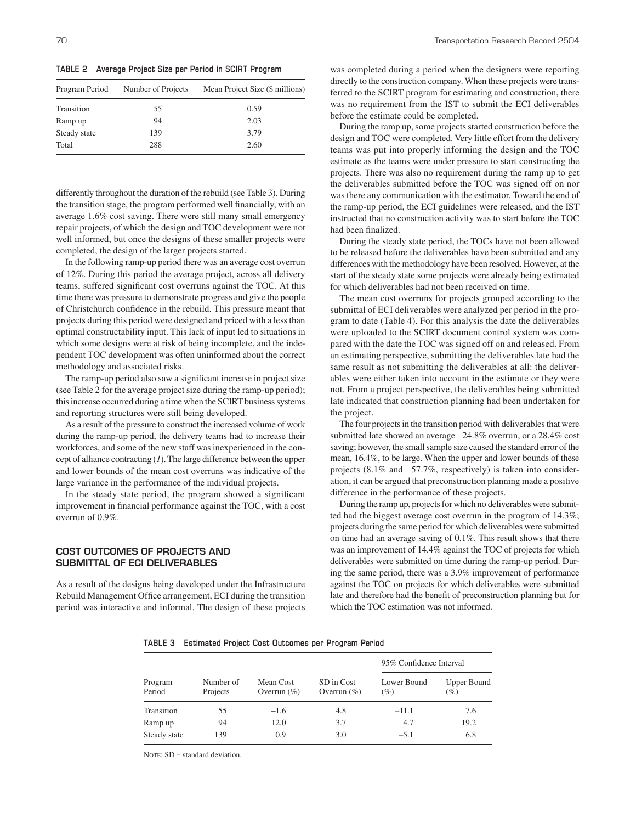**TABLE 2 Average Project Size per Period in SCIRT Program**

| Program Period | Number of Projects | Mean Project Size (\$ millions) |  |  |
|----------------|--------------------|---------------------------------|--|--|
| Transition     | 55                 | 0.59                            |  |  |
| Ramp up        | 94                 | 2.03                            |  |  |
| Steady state   | 139                | 3.79                            |  |  |
| Total          | 288                | 2.60                            |  |  |

differently throughout the duration of the rebuild (see Table 3). During the transition stage, the program performed well financially, with an average 1.6% cost saving. There were still many small emergency repair projects, of which the design and TOC development were not well informed, but once the designs of these smaller projects were completed, the design of the larger projects started.

In the following ramp-up period there was an average cost overrun of 12%. During this period the average project, across all delivery teams, suffered significant cost overruns against the TOC. At this time there was pressure to demonstrate progress and give the people of Christchurch confidence in the rebuild. This pressure meant that projects during this period were designed and priced with a less than optimal constructability input. This lack of input led to situations in which some designs were at risk of being incomplete, and the independent TOC development was often uninformed about the correct methodology and associated risks.

The ramp-up period also saw a significant increase in project size (see Table 2 for the average project size during the ramp-up period); this increase occurred during a time when the SCIRT business systems and reporting structures were still being developed.

As a result of the pressure to construct the increased volume of work during the ramp-up period, the delivery teams had to increase their workforces, and some of the new staff was inexperienced in the concept of alliance contracting (*1*). The large difference between the upper and lower bounds of the mean cost overruns was indicative of the large variance in the performance of the individual projects.

In the steady state period, the program showed a significant improvement in financial performance against the TOC, with a cost overrun of 0.9%.

## Cost Outcomes of Projects and Submittal of ECI Deliverables

As a result of the designs being developed under the Infrastructure Rebuild Management Office arrangement, ECI during the transition period was interactive and informal. The design of these projects

was completed during a period when the designers were reporting directly to the construction company. When these projects were transferred to the SCIRT program for estimating and construction, there was no requirement from the IST to submit the ECI deliverables before the estimate could be completed.

During the ramp up, some projects started construction before the design and TOC were completed. Very little effort from the delivery teams was put into properly informing the design and the TOC estimate as the teams were under pressure to start constructing the projects. There was also no requirement during the ramp up to get the deliverables submitted before the TOC was signed off on nor was there any communication with the estimator. Toward the end of the ramp-up period, the ECI guidelines were released, and the IST instructed that no construction activity was to start before the TOC had been finalized.

During the steady state period, the TOCs have not been allowed to be released before the deliverables have been submitted and any differences with the methodology have been resolved. However, at the start of the steady state some projects were already being estimated for which deliverables had not been received on time.

The mean cost overruns for projects grouped according to the submittal of ECI deliverables were analyzed per period in the program to date (Table 4). For this analysis the date the deliverables were uploaded to the SCIRT document control system was compared with the date the TOC was signed off on and released. From an estimating perspective, submitting the deliverables late had the same result as not submitting the deliverables at all: the deliverables were either taken into account in the estimate or they were not. From a project perspective, the deliverables being submitted late indicated that construction planning had been undertaken for the project.

The four projects in the transition period with deliverables that were submitted late showed an average −24.8% overrun, or a 28.4% cost saving; however, the small sample size caused the standard error of the mean, 16.4%, to be large. When the upper and lower bounds of these projects (8.1% and −57.7%, respectively) is taken into consideration, it can be argued that preconstruction planning made a positive difference in the performance of these projects.

During the ramp up, projects for which no deliverables were submitted had the biggest average cost overrun in the program of 14.3%; projects during the same period for which deliverables were submitted on time had an average saving of 0.1%. This result shows that there was an improvement of 14.4% against the TOC of projects for which deliverables were submitted on time during the ramp-up period. During the same period, there was a 3.9% improvement of performance against the TOC on projects for which deliverables were submitted late and therefore had the benefit of preconstruction planning but for which the TOC estimation was not informed.

**TABLE 3 Estimated Project Cost Outcomes per Program Period**

| Program<br>Period | Number of<br>Projects | Mean Cost<br>Overrun $(\% )$ |                               | 95% Confidence Interval |                    |  |
|-------------------|-----------------------|------------------------------|-------------------------------|-------------------------|--------------------|--|
|                   |                       |                              | SD in Cost<br>Overrun $(\% )$ | Lower Bound<br>(%)      | Upper Bound<br>(%) |  |
| Transition        | 55                    | $-1.6$                       | 4.8                           | $-11.1$                 | 7.6                |  |
| Ramp up           | 94                    | 12.0                         | 3.7                           | 4.7                     | 19.2               |  |
| Steady state      | 139                   | 0.9                          | 3.0                           | $-5.1$                  | 6.8                |  |

NOTE:  $SD = standard deviation$ .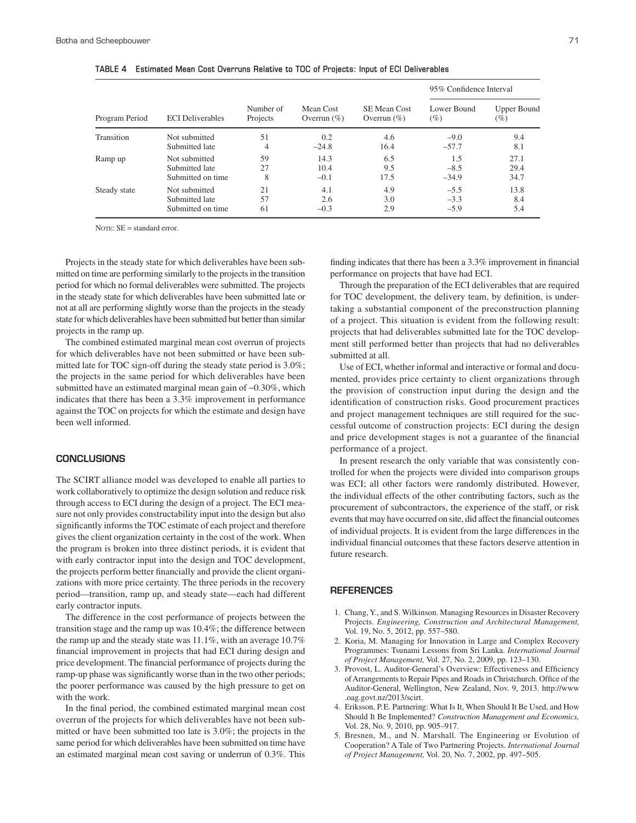| Program Period | <b>ECI</b> Deliverables | Number of<br>Projects | Mean Cost<br>Overrun $(\% )$ | <b>SE Mean Cost</b><br>Overrun $(\% )$ | 95% Confidence Interval |                           |
|----------------|-------------------------|-----------------------|------------------------------|----------------------------------------|-------------------------|---------------------------|
|                |                         |                       |                              |                                        | Lower Bound<br>(%)      | <b>Upper Bound</b><br>(%) |
| Transition     | Not submitted           | 51                    | 0.2                          | 4.6                                    | $-9.0$                  | 9.4                       |
|                | Submitted late          | $\overline{4}$        | $-24.8$                      | 16.4                                   | $-57.7$                 | 8.1                       |
| Ramp up        | Not submitted           | 59                    | 14.3                         | 6.5                                    | 1.5                     | 27.1                      |
|                | Submitted late          | 27                    | 10.4                         | 9.5                                    | $-8.5$                  | 29.4                      |
|                | Submitted on time       | 8                     | $-0.1$                       | 17.5                                   | $-34.9$                 | 34.7                      |
| Steady state   | Not submitted           | 21                    | 4.1                          | 4.9                                    | $-5.5$                  | 13.8                      |
|                | Submitted late          | 57                    | 2.6                          | 3.0                                    | $-3.3$                  | 8.4                       |
|                | Submitted on time       | 61                    | $-0.3$                       | 2.9                                    | $-5.9$                  | 5.4                       |

**TABLE 4 Estimated Mean Cost Overruns Relative to TOC of Projects: Input of ECI Deliverables**

NOTE:  $SE =$  standard error.

Projects in the steady state for which deliverables have been submitted on time are performing similarly to the projects in the transition period for which no formal deliverables were submitted. The projects in the steady state for which deliverables have been submitted late or not at all are performing slightly worse than the projects in the steady state for which deliverables have been submitted but better than similar projects in the ramp up.

The combined estimated marginal mean cost overrun of projects for which deliverables have not been submitted or have been submitted late for TOC sign-off during the steady state period is 3.0%; the projects in the same period for which deliverables have been submitted have an estimated marginal mean gain of −0.30%, which indicates that there has been a 3.3% improvement in performance against the TOC on projects for which the estimate and design have been well informed.

#### **CONCLUSIONS**

The SCIRT alliance model was developed to enable all parties to work collaboratively to optimize the design solution and reduce risk through access to ECI during the design of a project. The ECI measure not only provides constructability input into the design but also significantly informs the TOC estimate of each project and therefore gives the client organization certainty in the cost of the work. When the program is broken into three distinct periods, it is evident that with early contractor input into the design and TOC development, the projects perform better financially and provide the client organizations with more price certainty. The three periods in the recovery period—transition, ramp up, and steady state—each had different early contractor inputs.

The difference in the cost performance of projects between the transition stage and the ramp up was 10.4%; the difference between the ramp up and the steady state was 11.1%, with an average 10.7% financial improvement in projects that had ECI during design and price development. The financial performance of projects during the ramp-up phase was significantly worse than in the two other periods; the poorer performance was caused by the high pressure to get on with the work.

In the final period, the combined estimated marginal mean cost overrun of the projects for which deliverables have not been submitted or have been submitted too late is 3.0%; the projects in the same period for which deliverables have been submitted on time have an estimated marginal mean cost saving or underrun of 0.3%. This

finding indicates that there has been a 3.3% improvement in financial performance on projects that have had ECI.

Through the preparation of the ECI deliverables that are required for TOC development, the delivery team, by definition, is undertaking a substantial component of the preconstruction planning of a project. This situation is evident from the following result: projects that had deliverables submitted late for the TOC development still performed better than projects that had no deliverables submitted at all.

Use of ECI, whether informal and interactive or formal and documented, provides price certainty to client organizations through the provision of construction input during the design and the identification of construction risks. Good procurement practices and project management techniques are still required for the successful outcome of construction projects: ECI during the design and price development stages is not a guarantee of the financial performance of a project.

In present research the only variable that was consistently controlled for when the projects were divided into comparison groups was ECI; all other factors were randomly distributed. However, the individual effects of the other contributing factors, such as the procurement of subcontractors, the experience of the staff, or risk events that may have occurred on site, did affect the financial outcomes of individual projects. It is evident from the large differences in the individual financial outcomes that these factors deserve attention in future research.

#### **REFERENCES**

- 1. Chang, Y., and S. Wilkinson. Managing Resources in Disaster Recovery Projects. *Engineering, Construction and Architectural Management,* Vol. 19, No. 5, 2012, pp. 557–580.
- 2. Koria, M. Managing for Innovation in Large and Complex Recovery Programmes: Tsunami Lessons from Sri Lanka. *International Journal of Project Management,* Vol. 27, No. 2, 2009, pp. 123–130.
- Provost, L. Auditor-General's Overview: Effectiveness and Efficiency of Arrangements to Repair Pipes and Roads in Christchurch. Office of the Auditor-General, Wellington, New Zealand, Nov. 9, 2013. http://www .oag.govt.nz/2013/scirt.
- 4. Eriksson, P.E. Partnering: What Is It, When Should It Be Used, and How Should It Be Implemented? *Construction Management and Economics,* Vol. 28, No. 9, 2010, pp. 905–917.
- 5. Bresnen, M., and N. Marshall. The Engineering or Evolution of Cooperation? A Tale of Two Partnering Projects. *International Journal of Project Management,* Vol. 20, No. 7, 2002, pp. 497–505.